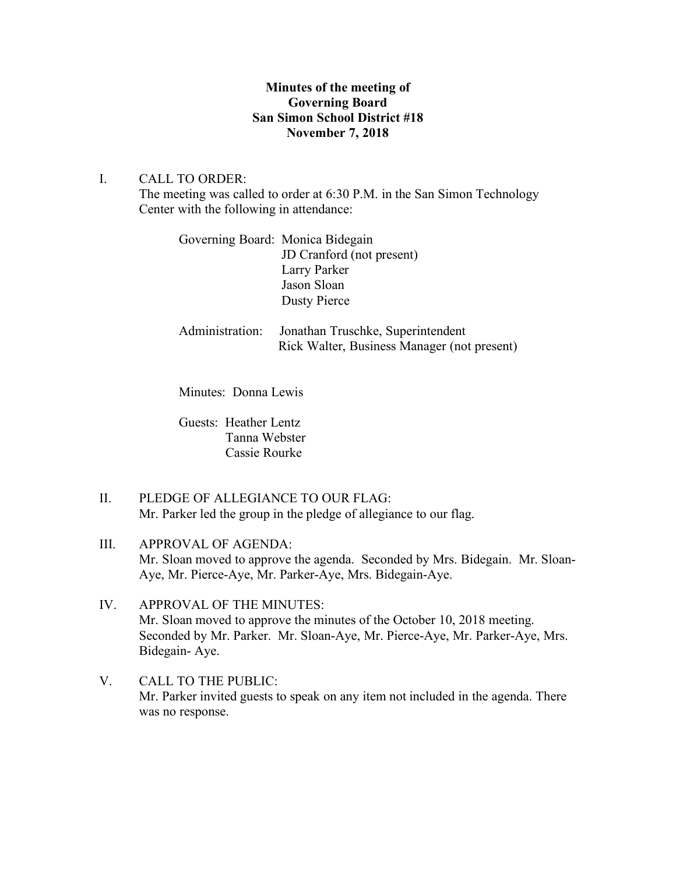### **Minutes of the meeting of Governing Board San Simon School District #18 November 7, 2018**

### I. CALL TO ORDER:

The meeting was called to order at 6:30 P.M. in the San Simon Technology Center with the following in attendance:

| Governing Board: Monica Bidegain |                           |
|----------------------------------|---------------------------|
|                                  | JD Cranford (not present) |
|                                  | Larry Parker              |
|                                  | Jason Sloan               |
|                                  | <b>Dusty Pierce</b>       |
|                                  |                           |

Administration: Jonathan Truschke, Superintendent Rick Walter, Business Manager (not present)

Minutes: Donna Lewis

Guests: Heather Lentz Tanna Webster Cassie Rourke

- II. PLEDGE OF ALLEGIANCE TO OUR FLAG: Mr. Parker led the group in the pledge of allegiance to our flag.
- III. APPROVAL OF AGENDA: Mr. Sloan moved to approve the agenda. Seconded by Mrs. Bidegain. Mr. Sloan-Aye, Mr. Pierce-Aye, Mr. Parker-Aye, Mrs. Bidegain-Aye.
- IV. APPROVAL OF THE MINUTES: Mr. Sloan moved to approve the minutes of the October 10, 2018 meeting. Seconded by Mr. Parker. Mr. Sloan-Aye, Mr. Pierce-Aye, Mr. Parker-Aye, Mrs. Bidegain- Aye.
- V. CALL TO THE PUBLIC: Mr. Parker invited guests to speak on any item not included in the agenda. There was no response.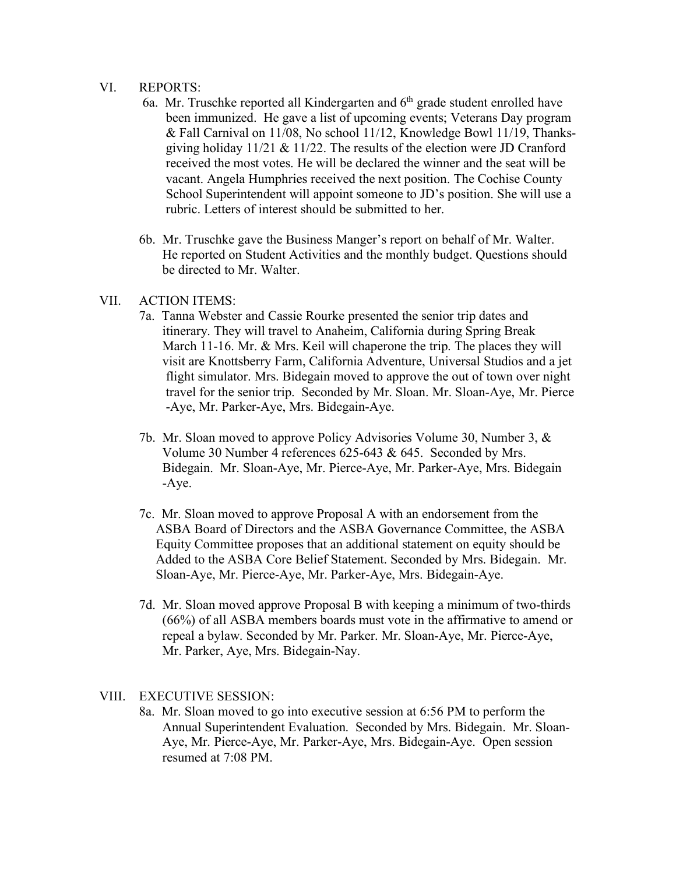#### VI. REPORTS:

- 6a. Mr. Truschke reported all Kindergarten and  $6<sup>th</sup>$  grade student enrolled have been immunized. He gave a list of upcoming events; Veterans Day program & Fall Carnival on 11/08, No school 11/12, Knowledge Bowl 11/19, Thanks giving holiday  $11/21 \& 11/22$ . The results of the election were JD Cranford received the most votes. He will be declared the winner and the seat will be vacant. Angela Humphries received the next position. The Cochise County School Superintendent will appoint someone to JD's position. She will use a rubric. Letters of interest should be submitted to her.
- 6b. Mr. Truschke gave the Business Manger's report on behalf of Mr. Walter. He reported on Student Activities and the monthly budget. Questions should be directed to Mr. Walter.

#### VII. ACTION ITEMS:

- 7a. Tanna Webster and Cassie Rourke presented the senior trip dates and itinerary. They will travel to Anaheim, California during Spring Break March 11-16. Mr. & Mrs. Keil will chaperone the trip. The places they will visit are Knottsberry Farm, California Adventure, Universal Studios and a jet flight simulator. Mrs. Bidegain moved to approve the out of town over night travel for the senior trip. Seconded by Mr. Sloan. Mr. Sloan-Aye, Mr. Pierce -Aye, Mr. Parker-Aye, Mrs. Bidegain-Aye.
- 7b. Mr. Sloan moved to approve Policy Advisories Volume 30, Number 3, & Volume 30 Number 4 references 625-643 & 645. Seconded by Mrs. Bidegain. Mr. Sloan-Aye, Mr. Pierce-Aye, Mr. Parker-Aye, Mrs. Bidegain -Aye.
- 7c. Mr. Sloan moved to approve Proposal A with an endorsement from the ASBA Board of Directors and the ASBA Governance Committee, the ASBA Equity Committee proposes that an additional statement on equity should be Added to the ASBA Core Belief Statement. Seconded by Mrs. Bidegain. Mr. Sloan-Aye, Mr. Pierce-Aye, Mr. Parker-Aye, Mrs. Bidegain-Aye.
- 7d. Mr. Sloan moved approve Proposal B with keeping a minimum of two-thirds (66%) of all ASBA members boards must vote in the affirmative to amend or repeal a bylaw. Seconded by Mr. Parker. Mr. Sloan-Aye, Mr. Pierce-Aye, Mr. Parker, Aye, Mrs. Bidegain-Nay.

#### VIII. EXECUTIVE SESSION:

8a. Mr. Sloan moved to go into executive session at 6:56 PM to perform the Annual Superintendent Evaluation. Seconded by Mrs. Bidegain. Mr. Sloan- Aye, Mr. Pierce-Aye, Mr. Parker-Aye, Mrs. Bidegain-Aye. Open session resumed at 7:08 PM.